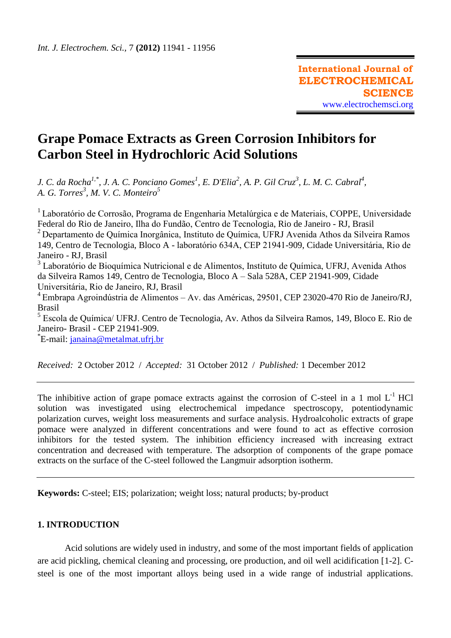# **Grape Pomace Extracts as Green Corrosion Inhibitors for Carbon Steel in Hydrochloric Acid Solutions**

*J. C. da Rocha<sup>1,\*</sup>, J. A. C. Ponciano Gomes<sup>1</sup>, E. D'Elia<sup>2</sup>, A. P. Gil Cruz<sup>3</sup>, L. M. C. Cabral<sup>4</sup>, A. G. Torres<sup>3</sup> , M. V. C. Monteiro<sup>5</sup>*

<sup>1</sup>Laboratório de Corrosão, Programa de Engenharia Metalúrgica e de Materiais, COPPE, Universidade Federal do Rio de Janeiro, Ilha do Fundão, Centro de Tecnologia, Rio de Janeiro - RJ, Brasil  $2$  Departamento de Química Inorgânica, Instituto de Química, UFRJ Avenida Athos da Silveira Ramos 149, Centro de Tecnologia, Bloco A - laboratório 634A, CEP 21941-909, Cidade Universitária, Rio de Janeiro - RJ, Brasil

<sup>3</sup> Laboratório de Bioquímica Nutricional e de Alimentos, Instituto de Química, UFRJ, Avenida Athos da Silveira Ramos 149, Centro de Tecnologia, Bloco A – Sala 528A, CEP 21941-909, Cidade Universitária, Rio de Janeiro, RJ, Brasil

 $4$ Embrapa Agroindústria de Alimentos – Av. das Américas, 29501, CEP 23020-470 Rio de Janeiro/RJ, Brasil

5 Escola de Química/ UFRJ. Centro de Tecnologia, Av. Athos da Silveira Ramos, 149, Bloco E. Rio de Janeiro- Brasil - CEP 21941-909.

\*E-mail: <u>janaina@metalmat.ufrj.br</u>

*Received:* 2 October 2012 / *Accepted:* 31 October 2012 / *Published:* 1 December 2012

The inhibitive action of grape pomace extracts against the corrosion of C-steel in a 1 mol  $L^{-1}$  HCl solution was investigated using electrochemical impedance spectroscopy, potentiodynamic polarization curves, weight loss measurements and surface analysis. Hydroalcoholic extracts of grape pomace were analyzed in different concentrations and were found to act as effective corrosion inhibitors for the tested system. The inhibition efficiency increased with increasing extract concentration and decreased with temperature. The adsorption of components of the grape pomace extracts on the surface of the C-steel followed the Langmuir adsorption isotherm.

**Keywords:** C-steel; EIS; polarization; weight loss; natural products; by-product

## **1. INTRODUCTION**

Acid solutions are widely used in industry, and some of the most important fields of application are acid pickling, chemical cleaning and processing, ore production, and oil well acidification [1-2]. Csteel is one of the most important alloys being used in a wide range of industrial applications.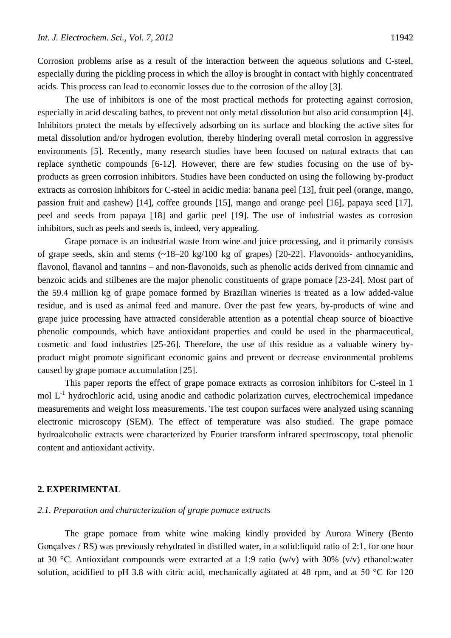Corrosion problems arise as a result of the interaction between the aqueous solutions and C-steel, especially during the pickling process in which the alloy is brought in contact with highly concentrated acids. This process can lead to economic losses due to the corrosion of the alloy [3].

The use of inhibitors is one of the most practical methods for protecting against corrosion, especially in acid descaling bathes, to prevent not only metal dissolution but also acid consumption [4]. Inhibitors protect the metals by effectively adsorbing on its surface and blocking the active sites for metal dissolution and/or hydrogen evolution, thereby hindering overall metal corrosion in aggressive environments [5]. Recently, many research studies have been focused on natural extracts that can replace synthetic compounds [6-12]. However, there are few studies focusing on the use of byproducts as green corrosion inhibitors. Studies have been conducted on using the following by-product extracts as corrosion inhibitors for C-steel in acidic media: banana peel [13], fruit peel (orange, mango, passion fruit and cashew) [14], coffee grounds [15], mango and orange peel [16], papaya seed [17], peel and seeds from papaya [18] and garlic peel [19]. The use of industrial wastes as corrosion inhibitors, such as peels and seeds is, indeed, very appealing.

Grape pomace is an industrial waste from wine and juice processing, and it primarily consists of grape seeds, skin and stems (~18–20 kg/100 kg of grapes) [20-22]. Flavonoids- anthocyanidins, flavonol, flavanol and tannins – and non-flavonoids, such as phenolic acids derived from cinnamic and benzoic acids and stilbenes are the major phenolic constituents of grape pomace [23-24]. Most part of the 59.4 million kg of grape pomace formed by Brazilian wineries is treated as a low added-value residue, and is used as animal feed and manure. Over the past few years, by-products of wine and grape juice processing have attracted considerable attention as a potential cheap source of bioactive phenolic compounds, which have antioxidant properties and could be used in the pharmaceutical, cosmetic and food industries [25-26]. Therefore, the use of this residue as a valuable winery byproduct might promote significant economic gains and prevent or decrease environmental problems caused by grape pomace accumulation [25].

This paper reports the effect of grape pomace extracts as corrosion inhibitors for C-steel in 1 mol  $L^{-1}$  hydrochloric acid, using anodic and cathodic polarization curves, electrochemical impedance measurements and weight loss measurements. The test coupon surfaces were analyzed using scanning electronic microscopy (SEM). The effect of temperature was also studied. The grape pomace hydroalcoholic extracts were characterized by Fourier transform infrared spectroscopy, total phenolic content and antioxidant activity.

# **2. EXPERIMENTAL**

## *2.1. Preparation and characterization of grape pomace extracts*

The grape pomace from white wine making kindly provided by Aurora Winery (Bento Goncalves / RS) was previously rehydrated in distilled water, in a solid: liquid ratio of 2:1, for one hour at 30 °C. Antioxidant compounds were extracted at a 1:9 ratio (w/v) with 30% (v/v) ethanol:water solution, acidified to pH 3.8 with citric acid, mechanically agitated at 48 rpm, and at 50 °C for 120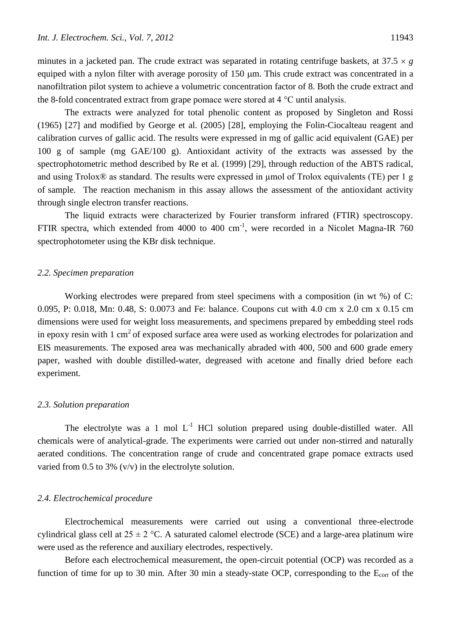minutes in a jacketed pan. The crude extract was separated in rotating centrifuge baskets, at  $37.5 \times g$ equiped with a nylon filter with average porosity of 150  $\mu$ m. This crude extract was concentrated in a nanofiltration pilot system to achieve a volumetric concentration factor of 8. Both the crude extract and the 8-fold concentrated extract from grape pomace were stored at 4 °C until analysis.

The extracts were analyzed for total phenolic content as proposed by Singleton and Rossi (1965) [27] and modified by George et al. (2005) [28], employing the Folin-Ciocalteau reagent and calibration curves of gallic acid. The results were expressed in mg of gallic acid equivalent (GAE) per 100 g of sample (mg GAE/100 g). Antioxidant activity of the extracts was assessed by the spectrophotometric method described by Re et al. (1999) [29], through reduction of the ABTS radical, and using Trolox® as standard. The results were expressed in µmol of Trolox equivalents (TE) per 1 g of sample. The reaction mechanism in this assay allows the assessment of the antioxidant activity through single electron transfer reactions.

The liquid extracts were characterized by Fourier transform infrared (FTIR) spectroscopy. FTIR spectra, which extended from 4000 to 400 cm<sup>-1</sup>, were recorded in a Nicolet Magna-IR 760 spectrophotometer using the KBr disk technique.

# *2.2. Specimen preparation*

Working electrodes were prepared from steel specimens with a composition (in wt %) of C: 0.095, P: 0.018, Mn: 0.48, S: 0.0073 and Fe: balance. Coupons cut with 4.0 cm x 2.0 cm x 0.15 cm dimensions were used for weight loss measurements, and specimens prepared by embedding steel rods in epoxy resin with 1 cm<sup>2</sup> of exposed surface area were used as working electrodes for polarization and EIS measurements. The exposed area was mechanically abraded with 400, 500 and 600 grade emery paper, washed with double distilled-water, degreased with acetone and finally dried before each experiment.

#### *2.3. Solution preparation*

The electrolyte was a 1 mol  $L^{-1}$  HCl solution prepared using double-distilled water. All chemicals were of analytical-grade. The experiments were carried out under non-stirred and naturally aerated conditions. The concentration range of crude and concentrated grape pomace extracts used varied from 0.5 to 3%  $(v/v)$  in the electrolyte solution.

#### *2.4. Electrochemical procedure*

Electrochemical measurements were carried out using a conventional three-electrode cylindrical glass cell at  $25 \pm 2$  °C. A saturated calomel electrode (SCE) and a large-area platinum wire were used as the reference and auxiliary electrodes, respectively.

Before each electrochemical measurement, the open-circuit potential (OCP) was recorded as a function of time for up to 30 min. After 30 min a steady-state OCP, corresponding to the  $E_{corr}$  of the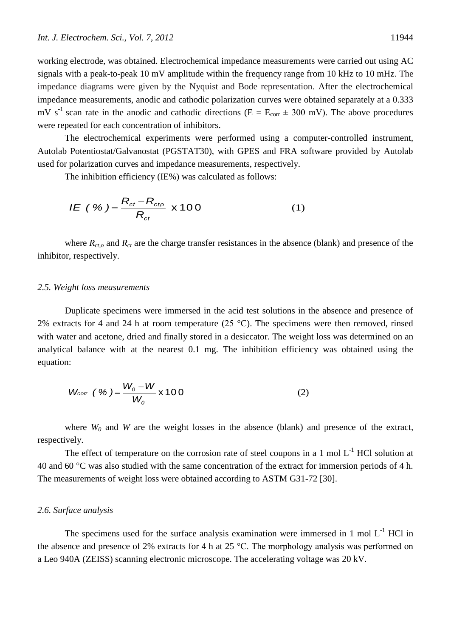The electrochemical experiments were performed using a computer-controlled instrument, Autolab Potentiostat/Galvanostat (PGSTAT30), with GPES and FRA software provided by Autolab used for polarization curves and impedance measurements, respectively.

The inhibition efficiency (IE%) was calculated as follows:  
\n
$$
I E ( \% ) = \frac{R_{ct} - R_{cto}}{R_{ct}} \times 100
$$
\n(1)

where  $R_{ct,o}$  and  $R_{ct}$  are the charge transfer resistances in the absence (blank) and presence of the inhibitor, respectively.

## *2.5. Weight loss measurements*

Duplicate specimens were immersed in the acid test solutions in the absence and presence of 2% extracts for 4 and 24 h at room temperature (25  $^{\circ}$ C). The specimens were then removed, rinsed with water and acetone, dried and finally stored in a desiccator. The weight loss was determined on an analytical balance with at the nearest 0.1 mg. The inhibition efficiency was obtained using the equation:

$$
W_{\text{corr}} \left( \frac{\%}{\%} \right) = \frac{W_o - W}{W_o} \times 100 \tag{2}
$$

where  $W_0$  and W are the weight losses in the absence (blank) and presence of the extract, respectively.

The effect of temperature on the corrosion rate of steel coupons in a 1 mol  $L^{-1}$  HCl solution at 40 and 60 °C was also studied with the same concentration of the extract for immersion periods of 4 h. The measurements of weight loss were obtained according to ASTM G31-72 [30].

## *2.6. Surface analysis*

The specimens used for the surface analysis examination were immersed in 1 mol  $L^{-1}$  HCl in the absence and presence of 2% extracts for 4 h at 25 °C. The morphology analysis was performed on a Leo 940A (ZEISS) scanning electronic microscope. The accelerating voltage was 20 kV.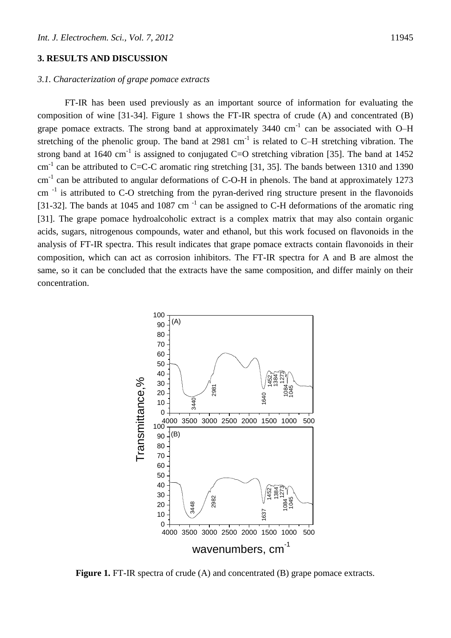# **3. RESULTS AND DISCUSSION**

# *3.1. Characterization of grape pomace extracts*

FT-IR has been used previously as an important source of information for evaluating the composition of wine [31-34]. Figure 1 shows the FT-IR spectra of crude (A) and concentrated (B) grape pomace extracts. The strong band at approximately  $3440 \text{ cm}^{-1}$  can be associated with O–H stretching of the phenolic group. The band at 2981  $cm^{-1}$  is related to C-H stretching vibration. The strong band at 1640 cm<sup>-1</sup> is assigned to conjugated C=O stretching vibration [35]. The band at 1452 cm<sup>-1</sup> can be attributed to C=C-C aromatic ring stretching [31, 35]. The bands between 1310 and 1390  $cm<sup>-1</sup>$  can be attributed to angular deformations of C-O-H in phenols. The band at approximately 1273  $cm^{-1}$  is attributed to C-O stretching from the pyran-derived ring structure present in the flavonoids [31-32]. The bands at 1045 and 1087 cm<sup>-1</sup> can be assigned to C-H deformations of the aromatic ring [31]. The grape pomace hydroalcoholic extract is a complex matrix that may also contain organic acids, sugars, nitrogenous compounds, water and ethanol, but this work focused on flavonoids in the analysis of FT-IR spectra. This result indicates that grape pomace extracts contain flavonoids in their composition, which can act as corrosion inhibitors. The FT-IR spectra for A and B are almost the same, so it can be concluded that the extracts have the same composition, and differ mainly on their concentration.



**Figure 1.** FT-IR spectra of crude (A) and concentrated (B) grape pomace extracts.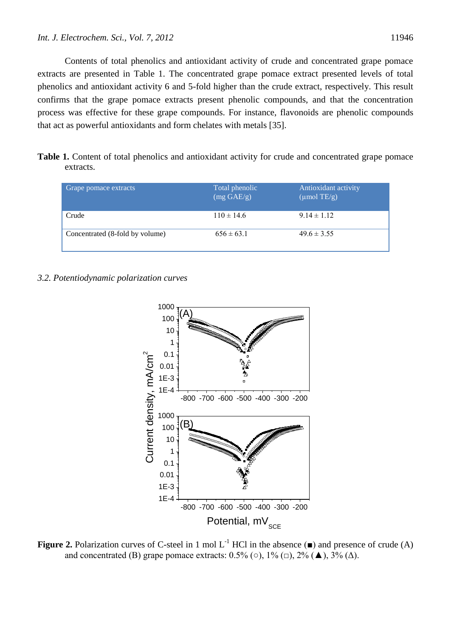Contents of total phenolics and antioxidant activity of crude and concentrated grape pomace extracts are presented in Table 1. The concentrated grape pomace extract presented levels of total phenolics and antioxidant activity 6 and 5-fold higher than the crude extract, respectively. This result confirms that the grape pomace extracts present phenolic compounds, and that the concentration process was effective for these grape compounds. For instance, flavonoids are phenolic compounds that act as powerful antioxidants and form chelates with metals [35].

**Table 1.** Content of total phenolics and antioxidant activity for crude and concentrated grape pomace extracts.

| Grape pomace extracts           | Total phenolic<br>$(mg \text{ GAE/g})$ | Antioxidant activity<br>$(\mu \text{mol TE/g})$ |
|---------------------------------|----------------------------------------|-------------------------------------------------|
| Crude                           | $110 \pm 14.6$                         | $9.14 \pm 1.12$                                 |
| Concentrated (8-fold by volume) | $656 \pm 63.1$                         | $49.6 \pm 3.55$                                 |

## *3.2. Potentiodynamic polarization curves*



**Figure 2.** Polarization curves of C-steel in 1 mol  $L^{-1}$  HCl in the absence ( $\blacksquare$ ) and presence of crude (A) and concentrated (B) grape pomace extracts:  $0.5\%$  ( $\circ$ ),  $1\%$  ( $\Box$ ),  $2\%$  ( $\blacktriangle$ ),  $3\%$  ( $\triangle$ ).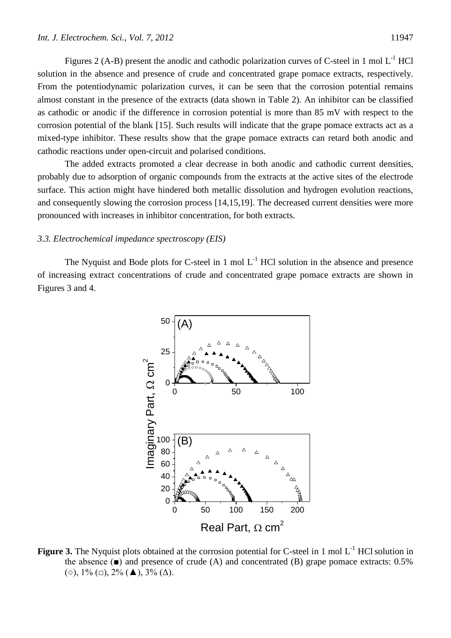Figures 2 (A-B) present the anodic and cathodic polarization curves of C-steel in 1 mol  $L^{-1}$  HCl solution in the absence and presence of crude and concentrated grape pomace extracts, respectively. From the potentiodynamic polarization curves, it can be seen that the corrosion potential remains almost constant in the presence of the extracts (data shown in Table 2). An inhibitor can be classified as cathodic or anodic if the difference in corrosion potential is more than 85 mV with respect to the corrosion potential of the blank [15]. Such results will indicate that the grape pomace extracts act as a mixed-type inhibitor. These results show that the grape pomace extracts can retard both anodic and cathodic reactions under open-circuit and polarised conditions.

The added extracts promoted a clear decrease in both anodic and cathodic current densities, probably due to adsorption of organic compounds from the extracts at the active sites of the electrode surface. This action might have hindered both metallic dissolution and hydrogen evolution reactions, and consequently slowing the corrosion process [14,15,19]. The decreased current densities were more pronounced with increases in inhibitor concentration, for both extracts.

## *3.3. Electrochemical impedance spectroscopy (EIS)*

The Nyquist and Bode plots for C-steel in 1 mol  $L^{-1}$  HCl solution in the absence and presence of increasing extract concentrations of crude and concentrated grape pomace extracts are shown in Figures 3 and 4.



Figure 3. The Nyquist plots obtained at the corrosion potential for C-steel in 1 mol L<sup>-1</sup> HCl solution in the absence  $(\blacksquare)$  and presence of crude (A) and concentrated (B) grape pomace extracts: 0.5% ( $\circ$ ),  $1\%$  ( $\Box$ ),  $2\%$  ( $\blacktriangle$ ),  $3\%$  ( $\triangle$ ).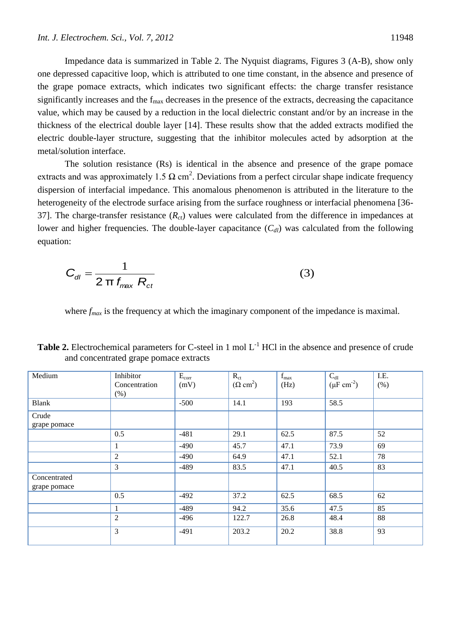Impedance data is summarized in Table 2. The Nyquist diagrams, Figures 3 (A-B), show only one depressed capacitive loop, which is attributed to one time constant, in the absence and presence of the grape pomace extracts, which indicates two significant effects: the charge transfer resistance significantly increases and the  $f_{\text{max}}$  decreases in the presence of the extracts, decreasing the capacitance value, which may be caused by a reduction in the local dielectric constant and/or by an increase in the thickness of the electrical double layer [14]. These results show that the added extracts modified the electric double-layer structure, suggesting that the inhibitor molecules acted by adsorption at the metal/solution interface.

The solution resistance (Rs) is identical in the absence and presence of the grape pomace extracts and was approximately 1.5  $\Omega$  cm<sup>2</sup>. Deviations from a perfect circular shape indicate frequency dispersion of interfacial impedance. This anomalous phenomenon is attributed in the literature to the heterogeneity of the electrode surface arising from the surface roughness or interfacial phenomena [36-37]. The charge-transfer resistance (*Rct*) values were calculated from the difference in impedances at lower and higher frequencies. The double-layer capacitance  $(C_d)$  was calculated from the following equation:

$$
C_{\text{dl}} = \frac{1}{2 \pi f_{\text{max}} R_{\text{ct}}}
$$
 (3)

where  $f_{max}$  is the frequency at which the imaginary component of the impedance is maximal.

| Medium       | Inhibitor      | $E_{corr}$ | $R_{ct}$                | $f_{\text{max}}$ | $C_{dI}$                  | I.E. |
|--------------|----------------|------------|-------------------------|------------------|---------------------------|------|
|              | Concentration  | (mV)       | $(\Omega \text{ cm}^2)$ | (Hz)             | $(\mu F \text{ cm}^{-2})$ | (% ) |
|              | $(\%)$         |            |                         |                  |                           |      |
| <b>Blank</b> |                | $-500$     | 14.1                    | 193              | 58.5                      |      |
| Crude        |                |            |                         |                  |                           |      |
| grape pomace |                |            |                         |                  |                           |      |
|              | 0.5            | $-481$     | 29.1                    | 62.5             | 87.5                      | 52   |
|              | $\mathbf{1}$   | $-490$     | 45.7                    | 47.1             | 73.9                      | 69   |
|              | $\overline{2}$ | $-490$     | 64.9                    | 47.1             | 52.1                      | 78   |
|              | 3              | $-489$     | 83.5                    | 47.1             | 40.5                      | 83   |
| Concentrated |                |            |                         |                  |                           |      |
| grape pomace |                |            |                         |                  |                           |      |
|              | 0.5            | $-492$     | 37.2                    | 62.5             | 68.5                      | 62   |
|              | 1              | $-489$     | 94.2                    | 35.6             | 47.5                      | 85   |
|              | $\overline{2}$ | $-496$     | 122.7                   | 26.8             | 48.4                      | 88   |
|              | 3              | $-491$     | 203.2                   | 20.2             | 38.8                      | 93   |

**Table 2.** Electrochemical parameters for C-steel in 1 mol  $L^{-1}$  HCl in the absence and presence of crude and concentrated grape pomace extracts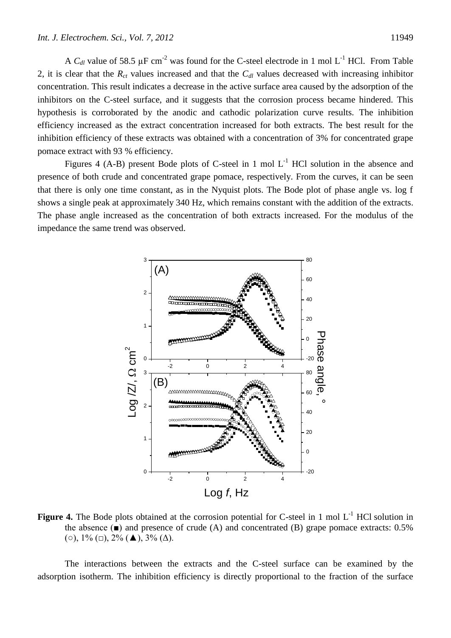A  $C_{dl}$  value of 58.5  $\mu$ F cm<sup>-2</sup> was found for the C-steel electrode in 1 mol L<sup>-1</sup> HCl. From Table 2, it is clear that the  $R_{ct}$  values increased and that the  $C_{dl}$  values decreased with increasing inhibitor concentration. This result indicates a decrease in the active surface area caused by the adsorption of the inhibitors on the C-steel surface, and it suggests that the corrosion process became hindered. This hypothesis is corroborated by the anodic and cathodic polarization curve results. The inhibition efficiency increased as the extract concentration increased for both extracts. The best result for the inhibition efficiency of these extracts was obtained with a concentration of 3% for concentrated grape pomace extract with 93 % efficiency.

Figures 4 (A-B) present Bode plots of C-steel in 1 mol  $L^{-1}$  HCl solution in the absence and presence of both crude and concentrated grape pomace, respectively. From the curves, it can be seen that there is only one time constant, as in the Nyquist plots. The Bode plot of phase angle vs. log f shows a single peak at approximately 340 Hz, which remains constant with the addition of the extracts. The phase angle increased as the concentration of both extracts increased. For the modulus of the impedance the same trend was observed.



Figure 4. The Bode plots obtained at the corrosion potential for C-steel in 1 mol L<sup>-1</sup> HCl solution in the absence  $(\blacksquare)$  and presence of crude (A) and concentrated (B) grape pomace extracts: 0.5% (○),  $1\%$  (□),  $2\%$  (**Δ**),  $3\%$  (Δ).

The interactions between the extracts and the C-steel surface can be examined by the adsorption isotherm. The inhibition efficiency is directly proportional to the fraction of the surface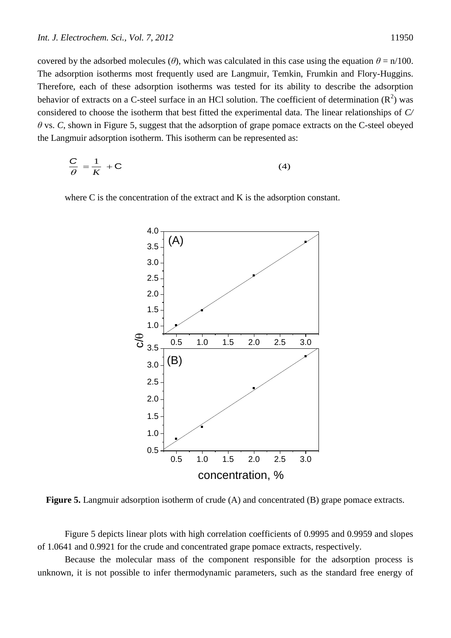covered by the adsorbed molecules ( $\theta$ ), which was calculated in this case using the equation  $\theta = \frac{n}{100}$ . The adsorption isotherms most frequently used are Langmuir, Temkin, Frumkin and Flory-Huggins. Therefore, each of these adsorption isotherms was tested for its ability to describe the adsorption behavior of extracts on a C-steel surface in an HCl solution. The coefficient of determination  $(R^2)$  was considered to choose the isotherm that best fitted the experimental data. The linear relationships of *C/ θ* vs. *C*, shown in Figure 5, suggest that the adsorption of grape pomace extracts on the C-steel obeyed the Langmuir adsorption isotherm. This isotherm can be represented as:

$$
\frac{C}{\theta} = \frac{1}{K} + C \tag{4}
$$

where C is the concentration of the extract and K is the adsorption constant.



**Figure 5.** Langmuir adsorption isotherm of crude (A) and concentrated (B) grape pomace extracts.

Figure 5 depicts linear plots with high correlation coefficients of 0.9995 and 0.9959 and slopes of 1.0641 and 0.9921 for the crude and concentrated grape pomace extracts, respectively.

Because the molecular mass of the component responsible for the adsorption process is unknown, it is not possible to infer thermodynamic parameters, such as the standard free energy of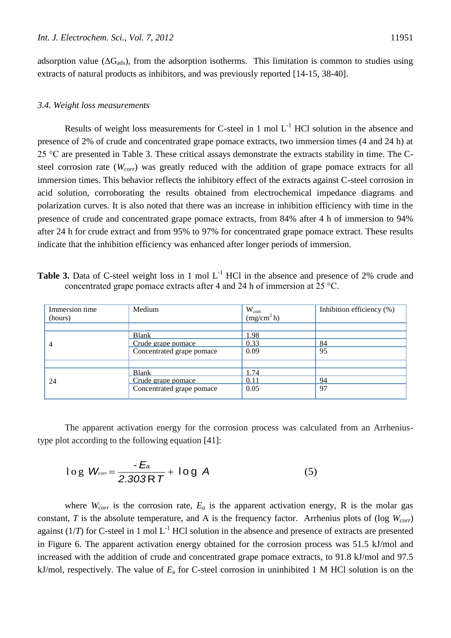adsorption value ( $\Delta G_{ads}$ ), from the adsorption isotherms. This limitation is common to studies using extracts of natural products as inhibitors, and was previously reported [14-15, 38-40].

## *3.4. Weight loss measurements*

Results of weight loss measurements for C-steel in 1 mol  $L^{-1}$  HCl solution in the absence and presence of 2% of crude and concentrated grape pomace extracts, two immersion times (4 and 24 h) at 25 °C are presented in Table 3. These critical assays demonstrate the extracts stability in time. The Csteel corrosion rate (*Wcorr*) was greatly reduced with the addition of grape pomace extracts for all immersion times. This behavior reflects the inhibitory effect of the extracts against C-steel corrosion in acid solution, corroborating the results obtained from electrochemical impedance diagrams and polarization curves. It is also noted that there was an increase in inhibition efficiency with time in the presence of crude and concentrated grape pomace extracts, from 84% after 4 h of immersion to 94% after 24 h for crude extract and from 95% to 97% for concentrated grape pomace extract. These results indicate that the inhibition efficiency was enhanced after longer periods of immersion.

Table 3. Data of C-steel weight loss in 1 mol L<sup>-1</sup> HCl in the absence and presence of 2% crude and concentrated grape pomace extracts after 4 and 24 h of immersion at 25 °C.

| Immersion time<br>(hours) | Medium                                                          | $W_{corr}$<br>(mg/cm <sup>2</sup> h) | Inhibition efficiency (%) |
|---------------------------|-----------------------------------------------------------------|--------------------------------------|---------------------------|
| 4                         | Blank<br>Crude grape pomace<br>Concentrated grape pomace        | .98<br>0.33<br>0.09                  | 84<br>95                  |
|                           |                                                                 |                                      |                           |
| 24                        | <b>Blank</b><br>Crude grape pomace<br>Concentrated grape pomace | 1.74<br>0.11<br>0.05                 | 94<br>97                  |

The apparent activation energy for the corrosion process was calculated from an Arrheniustype plot according to the following equation [41]:

$$
\log W_{\text{corr}} = \frac{-E_a}{2.303RT} + \log A \tag{5}
$$

where  $W_{corr}$  is the corrosion rate,  $E_a$  is the apparent activation energy, R is the molar gas constant, *T* is the absolute temperature, and A is the frequency factor. Arrhenius plots of (log *Wcorr*) against  $(1/T)$  for C-steel in 1 mol L<sup>-1</sup> HCl solution in the absence and presence of extracts are presented in Figure 6. The apparent activation energy obtained for the corrosion process was 51.5 kJ/mol and increased with the addition of crude and concentrated grape pomace extracts, to 91.8 kJ/mol and 97.5 kJ/mol, respectively. The value of *E*<sup>a</sup> for C-steel corrosion in uninhibited 1 M HCl solution is on the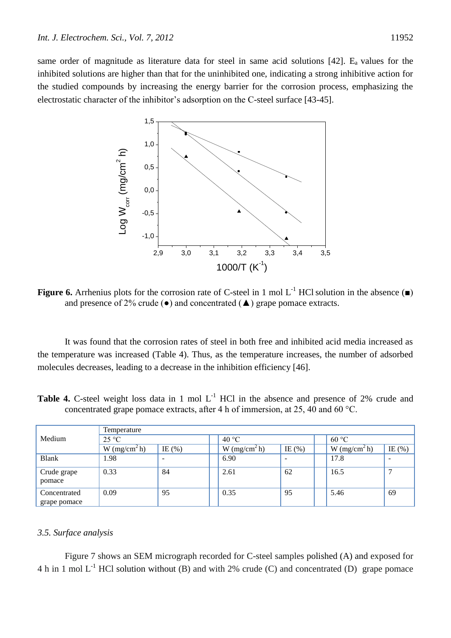same order of magnitude as literature data for steel in same acid solutions  $[42]$ . E<sub>a</sub> values for the inhibited solutions are higher than that for the uninhibited one, indicating a strong inhibitive action for the studied compounds by increasing the energy barrier for the corrosion process, emphasizing the electrostatic character of the inhibitor's adsorption on the C-steel surface [43-45].



**Figure 6.** Arrhenius plots for the corrosion rate of C-steel in 1 mol  $L^{-1}$  HCl solution in the absence ( $\blacksquare$ ) and presence of 2% crude  $(\bullet)$  and concentrated  $(\blacktriangle)$  grape pomace extracts.

It was found that the corrosion rates of steel in both free and inhibited acid media increased as the temperature was increased (Table 4). Thus, as the temperature increases, the number of adsorbed molecules decreases, leading to a decrease in the inhibition efficiency [46].

**Table 4.** C-steel weight loss data in 1 mol L<sup>-1</sup> HCl in the absence and presence of 2% crude and concentrated grape pomace extracts, after 4 h of immersion, at 25, 40 and 60 °C.

|                              | Temperature                |            |                          |            |                          |            |  |
|------------------------------|----------------------------|------------|--------------------------|------------|--------------------------|------------|--|
| Medium                       | $25^{\circ}C$              |            | 40 °C                    |            |                          | 60 °C      |  |
|                              | $W$ (mg/cm <sup>2</sup> h) | IE $(\% )$ | W (mg/cm <sup>2</sup> h) | IE $(\% )$ | W (mg/cm <sup>2</sup> h) | IE $(\% )$ |  |
| <b>Blank</b>                 | 1.98                       |            | 6.90                     | -          | 17.8                     |            |  |
| Crude grape<br>pomace        | 0.33                       | 84         | 2.61                     | 62         | 16.5                     |            |  |
| Concentrated<br>grape pomace | 0.09                       | 95         | 0.35                     | 95         | 5.46                     | 69         |  |

## *3.5. Surface analysis*

Figure 7 shows an SEM micrograph recorded for C-steel samples polished (A) and exposed for 4 h in 1 mol  $L^{-1}$  HCl solution without (B) and with 2% crude (C) and concentrated (D) grape pomace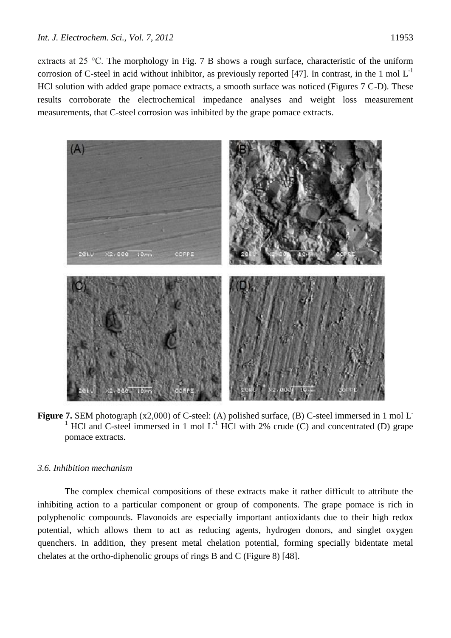extracts at 25 °C. The morphology in Fig. 7 B shows a rough surface, characteristic of the uniform corrosion of C-steel in acid without inhibitor, as previously reported [47]. In contrast, in the 1 mol  $L^{-1}$ HCl solution with added grape pomace extracts, a smooth surface was noticed (Figures 7 C-D). These results corroborate the electrochemical impedance analyses and weight loss measurement measurements, that C-steel corrosion was inhibited by the grape pomace extracts.



**Figure 7.** SEM photograph (x2,000) of C-steel: (A) polished surface, (B) C-steel immersed in 1 mol L<sup>-</sup> <sup>1</sup> HCl and C-steel immersed in 1 mol  $L^{-1}$  HCl with 2% crude (C) and concentrated (D) grape pomace extracts.

# *3.6. Inhibition mechanism*

The complex chemical compositions of these extracts make it rather difficult to attribute the inhibiting action to a particular component or group of components. The grape pomace is rich in polyphenolic compounds. Flavonoids are especially important antioxidants due to their high redox potential, which allows them to act as reducing agents, hydrogen donors, and singlet oxygen quenchers. In addition, they present metal chelation potential, forming specially bidentate metal chelates at the ortho-diphenolic groups of rings B and C (Figure 8) [48].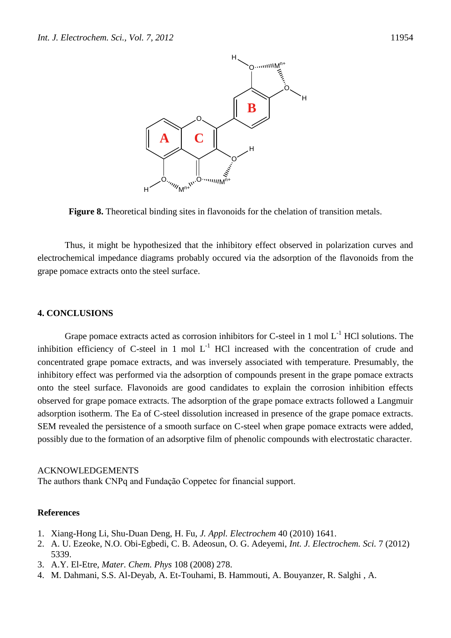

**Figure 8.** Theoretical binding sites in flavonoids for the chelation of transition metals.

Thus, it might be hypothesized that the inhibitory effect observed in polarization curves and electrochemical impedance diagrams probably occured via the adsorption of the flavonoids from the grape pomace extracts onto the steel surface.

#### **4. CONCLUSIONS**

Grape pomace extracts acted as corrosion inhibitors for C-steel in 1 mol  $L^{-1}$  HCl solutions. The inhibition efficiency of C-steel in 1 mol  $L^{-1}$  HCl increased with the concentration of crude and concentrated grape pomace extracts, and was inversely associated with temperature. Presumably, the inhibitory effect was performed via the adsorption of compounds present in the grape pomace extracts onto the steel surface. Flavonoids are good candidates to explain the corrosion inhibition effects observed for grape pomace extracts. The adsorption of the grape pomace extracts followed a Langmuir adsorption isotherm. The Ea of C-steel dissolution increased in presence of the grape pomace extracts. SEM revealed the persistence of a smooth surface on C-steel when grape pomace extracts were added, possibly due to the formation of an adsorptive film of phenolic compounds with electrostatic character.

#### ACKNOWLEDGEMENTS

The authors thank CNPq and Fundação Coppetec for financial support.

## **References**

- 1. Xiang-Hong Li, Shu-Duan Deng, H. Fu, *J. Appl. Electrochem* 40 (2010) 1641.
- 2. A. U. Ezeoke, N.O. Obi-Egbedi, C. B. Adeosun, O. G. Adeyemi, *Int. J. Electrochem. Sci.* 7 (2012) 5339.
- 3. A.Y. El-Etre, *Mater. Chem. Phys* 108 (2008) 278.
- 4. M. Dahmani, S.S. Al-Deyab, A. Et-Touhami, B. Hammouti, A. Bouyanzer, R. Salghi *,* A.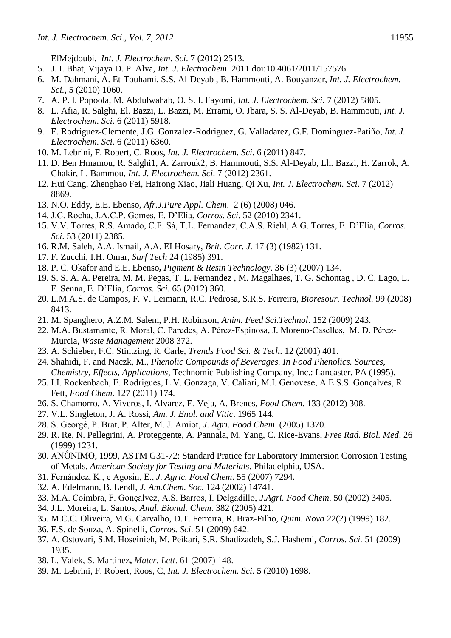ElMejdoubi*. Int. J. Electrochem. Sci*. 7 (2012) 2513.

- 5. J. I. Bhat, Vijaya D. P. Alva, *Int. J. Electrochem*. 2011 doi:10.4061/2011/157576.
- 6. M. Dahmani, A. Et-Touhami, S.S. Al-Deyab , B. Hammouti, A. Bouyanzer, *Int. J. Electrochem. Sci.,* 5 (2010) 1060.
- 7. A. P. I. Popoola, M. Abdulwahab, O. S. I. Fayomi, *Int. J. Electrochem. Sci.* 7 (2012) 5805.
- 8. L. Afia, R. Salghi, El. Bazzi, L. Bazzi, M. Errami, O. Jbara, S. S. Al-Deyab, B. Hammouti, *Int. J. Electrochem. Sci*. 6 (2011) 5918.
- 9. E. Rodriguez-Clemente, J.G. Gonzalez-Rodriguez, G. Valladarez, G.F. Dominguez-Patiño, *Int. J. Electrochem. Sci*. 6 (2011) 6360.
- 10. M. Lebrini, F. Robert, C. Roos, *Int. J. Electrochem. Sci*. 6 (2011) 847.
- 11. D. Ben Hmamou, R. Salghi1, A. Zarrouk2, B. Hammouti, S.S. Al-Deyab, Lh. Bazzi, H. Zarrok, A. Chakir, L. Bammou, *Int. J. Electrochem. Sci*. 7 (2012) 2361.
- 12. Hui Cang, Zhenghao Fei, Hairong Xiao, Jiali Huang, Qi Xu, *Int. J. Electrochem. Sci*. 7 (2012) 8869.
- 13. N.O. Eddy, E.E. Ebenso, *Afr.J.Pure Appl. Chem*. 2 (6) (2008) 046.
- 14. J.C. Rocha, J.A.C.P. Gomes, E. D'Elia, *Corros. Sci*. 52 (2010) 2341.
- 15. V.V. Torres, R.S. Amado, C.F. Sá, T.L. Fernandez, C.A.S. Riehl, A.G. Torres, E. D'Elia, *Corros. Sci*. 53 (2011) 2385.
- 16. R.M. Saleh, A.A. Ismail, A.A. EI Hosary, *Brit. Corr. J.* 17 (3) (1982) 131.
- 17. F. Zucchi, I.H. Omar, *Surf Tech* 24 (1985) 391.
- 18. P. C. Okafor and E.E. Ebenso**,** *Pigment & Resin Technology*. 36 (3) (2007) 134.
- 19. S. S. A. A. Pereira, M. M. Pegas, T. L. Fernandez , M. Magalhaes, T. G. Schontag , D. C. Lago, L. F. Senna, E. D'Elia, *Corros. Sci*. 65 (2012) 360.
- 20. L.M.A.S. de Campos, F. V. Leimann, R.C. Pedrosa, S.R.S. Ferreira, *Bioresour. Technol.* 99 (2008) 8413.
- 21. M. Spanghero, A.Z.M. Salem, P.H. Robinson, *Anim. Feed Sci.Technol*. 152 (2009) 243.
- 22. M.A. Bustamante, R. Moral, C. Paredes, A. Pérez-Espinosa, J. Moreno-Caselles, M. D. Pérez-Murcia, *Waste Management* 2008 372.
- 23. A. Schieber, F.C. Stintzing, R. Carle, *Trends Food Sci. & Tech*. 12 (2001) 401.
- 24. Shahidi, F. and Naczk, M., *Phenolic Compounds of Beverages. In Food Phenolics. Sources, Chemistry, Effects, Applications*, Technomic Publishing Company, Inc.: Lancaster, PA (1995).
- 25. I.I. Rockenbach, E. Rodrigues, L.V. Gonzaga, V. Caliari, M.I. Genovese, A.E.S.S. Gonçalves, R. Fett, *Food Chem*. 127 (2011) 174.
- 26. S. Chamorro, A. Viveros, I. Alvarez, E. Veja, A. Brenes, *Food Chem*. 133 (2012) 308.
- 27. V.L. Singleton, J. A. Rossi, *Am. J. Enol. and Vitic*. 1965 144.
- 28. S. Georgé, P. Brat, P. Alter, M. J. Amiot, *J. Agri. Food Chem*. (2005) 1370.
- 29. R. Re, N. Pellegrini, A. Proteggente, A. Pannala, M. Yang, C. Rice-Evans, *Free Rad. Biol. Med*. 26 (1999) 1231.
- 30. ANÔNIMO, 1999, ASTM G31-72: Standard Pratice for Laboratory Immersion Corrosion Testing of Metals, *American Society for Testing and Materials*. Philadelphia, USA.
- 31. Fernández, K., e Agosin, E., *J. Agric. Food Chem*. 55 (2007) 7294.
- 32. A. Edelmann, B. Lendl, *J. Am.Chem. Soc*. 124 (2002) 14741.
- 33. M.A. Coimbra, F. Gonçalvez, A.S. Barros, I. Delgadillo, *J.Agri. Food Chem*. 50 (2002) 3405.
- 34. J.L. Moreira, L. Santos, *Anal. Bional. Chem*. 382 (2005) 421.
- 35. M.C.C. Oliveira, M.G. Carvalho, D.T. Ferreira, R. Braz-Filho, *Quim. Nova* 22(2) (1999) 182.
- 36. F.S. de Souza, A. Spinelli, *Corros. Sci*. 51 (2009) 642.
- 37. A. Ostovari, S.M. Hoseinieh, M. Peikari, S.R. Shadizadeh, S.J. Hashemi, *Corros. Sci.* 51 (2009) 1935.
- 38. L. Valek, S. Martinez**,** *Mater. Lett*. 61 (2007) 148.
- 39. M. Lebrini, F. Robert, Roos, C, *Int. J. Electrochem. Sci*. 5 (2010) 1698.